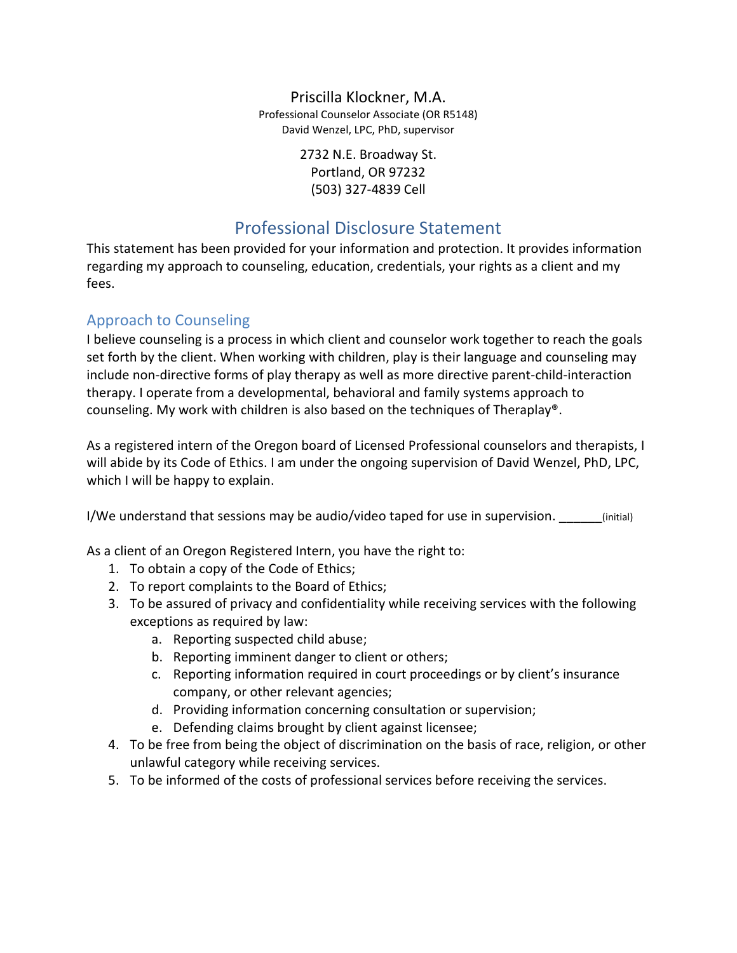### Priscilla Klockner, M.A.

Professional Counselor Associate (OR R5148) David Wenzel, LPC, PhD, supervisor

> 2732 N.E. Broadway St. Portland, OR 97232 (503) 327-4839 Cell

# Professional Disclosure Statement

This statement has been provided for your information and protection. It provides information regarding my approach to counseling, education, credentials, your rights as a client and my fees.

## Approach to Counseling

I believe counseling is a process in which client and counselor work together to reach the goals set forth by the client. When working with children, play is their language and counseling may include non-directive forms of play therapy as well as more directive parent-child-interaction therapy. I operate from a developmental, behavioral and family systems approach to counseling. My work with children is also based on the techniques of Theraplay®.

As a registered intern of the Oregon board of Licensed Professional counselors and therapists, I will abide by its Code of Ethics. I am under the ongoing supervision of David Wenzel, PhD, LPC, which I will be happy to explain.

I/We understand that sessions may be audio/video taped for use in supervision. \_\_\_\_\_\_(initial)

As a client of an Oregon Registered Intern, you have the right to:

- 1. To obtain a copy of the Code of Ethics;
- 2. To report complaints to the Board of Ethics;
- 3. To be assured of privacy and confidentiality while receiving services with the following exceptions as required by law:
	- a. Reporting suspected child abuse;
	- b. Reporting imminent danger to client or others;
	- c. Reporting information required in court proceedings or by client's insurance company, or other relevant agencies;
	- d. Providing information concerning consultation or supervision;
	- e. Defending claims brought by client against licensee;
- 4. To be free from being the object of discrimination on the basis of race, religion, or other unlawful category while receiving services.
- 5. To be informed of the costs of professional services before receiving the services.